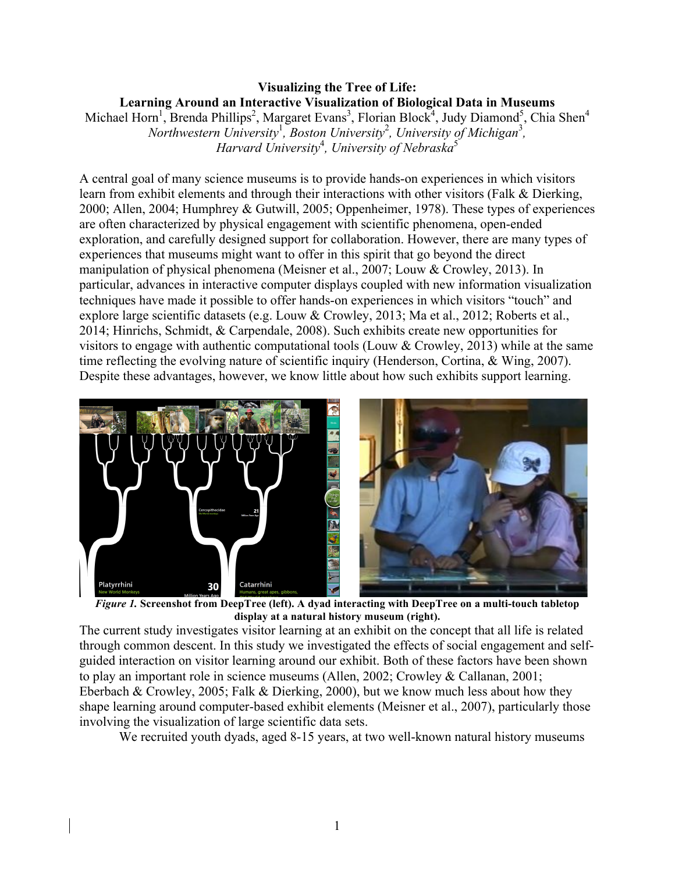# **Visualizing the Tree of Life: Learning Around an Interactive Visualization of Biological Data in Museums**

Michael Horn<sup>1</sup>, Brenda Phillips<sup>2</sup>, Margaret Evans<sup>3</sup>, Florian Block<sup>4</sup>, Judy Diamond<sup>5</sup>, Chia Shen<sup>4</sup> *Northwestern University*<sup>1</sup>, *Boston University*<sup>2</sup>, *University of Michigan*<sup>3</sup>, *Harvard University*<sup>4</sup> *, University of Nebraska*<sup>5</sup>

A central goal of many science museums is to provide hands-on experiences in which visitors learn from exhibit elements and through their interactions with other visitors (Falk & Dierking, 2000; Allen, 2004; Humphrey & Gutwill, 2005; Oppenheimer, 1978). These types of experiences are often characterized by physical engagement with scientific phenomena, open-ended exploration, and carefully designed support for collaboration. However, there are many types of experiences that museums might want to offer in this spirit that go beyond the direct manipulation of physical phenomena (Meisner et al., 2007; Louw & Crowley, 2013). In particular, advances in interactive computer displays coupled with new information visualization techniques have made it possible to offer hands-on experiences in which visitors "touch" and explore large scientific datasets (e.g. Louw & Crowley, 2013; Ma et al., 2012; Roberts et al., 2014; Hinrichs, Schmidt, & Carpendale, 2008). Such exhibits create new opportunities for visitors to engage with authentic computational tools (Louw & Crowley, 2013) while at the same time reflecting the evolving nature of scientific inquiry (Henderson, Cortina, & Wing, 2007). Despite these advantages, however, we know little about how such exhibits support learning.



**display at a natural history museum (right).**

The current study investigates visitor learning at an exhibit on the concept that all life is related through common descent. In this study we investigated the effects of social engagement and selfguided interaction on visitor learning around our exhibit. Both of these factors have been shown to play an important role in science museums (Allen, 2002; Crowley & Callanan, 2001; Eberbach & Crowley, 2005; Falk & Dierking, 2000), but we know much less about how they shape learning around computer-based exhibit elements (Meisner et al., 2007), particularly those involving the visualization of large scientific data sets.

We recruited youth dyads, aged 8-15 years, at two well-known natural history museums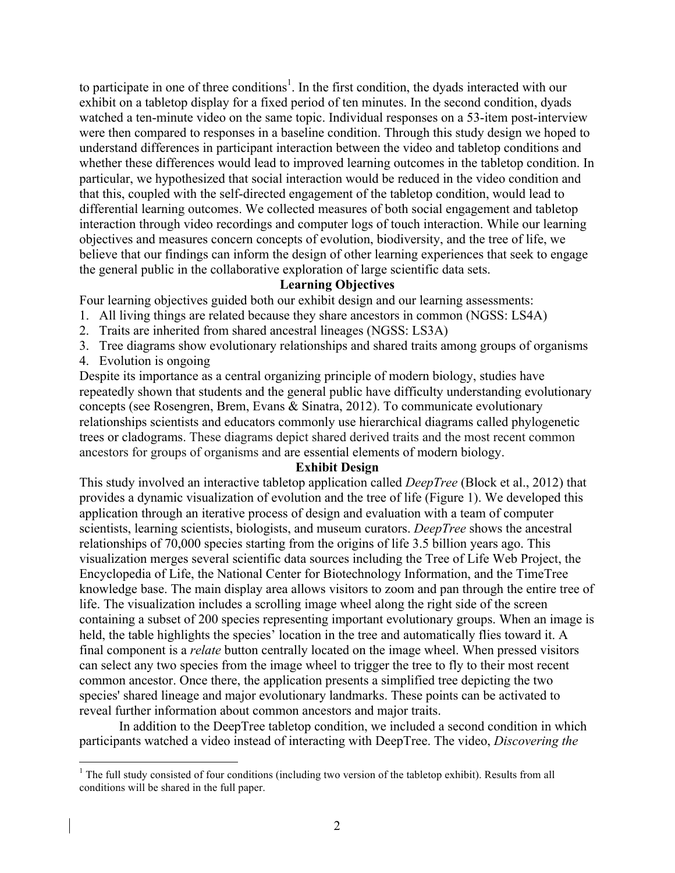to participate in one of three conditions<sup>1</sup>. In the first condition, the dyads interacted with our exhibit on a tabletop display for a fixed period of ten minutes. In the second condition, dyads watched a ten-minute video on the same topic. Individual responses on a 53-item post-interview were then compared to responses in a baseline condition. Through this study design we hoped to understand differences in participant interaction between the video and tabletop conditions and whether these differences would lead to improved learning outcomes in the tabletop condition. In particular, we hypothesized that social interaction would be reduced in the video condition and that this, coupled with the self-directed engagement of the tabletop condition, would lead to differential learning outcomes. We collected measures of both social engagement and tabletop interaction through video recordings and computer logs of touch interaction. While our learning objectives and measures concern concepts of evolution, biodiversity, and the tree of life, we believe that our findings can inform the design of other learning experiences that seek to engage the general public in the collaborative exploration of large scientific data sets.

## **Learning Objectives**

Four learning objectives guided both our exhibit design and our learning assessments:

- 1. All living things are related because they share ancestors in common (NGSS: LS4A)
- 2. Traits are inherited from shared ancestral lineages (NGSS: LS3A)
- 3. Tree diagrams show evolutionary relationships and shared traits among groups of organisms
- 4. Evolution is ongoing

Despite its importance as a central organizing principle of modern biology, studies have repeatedly shown that students and the general public have difficulty understanding evolutionary concepts (see Rosengren, Brem, Evans & Sinatra, 2012). To communicate evolutionary relationships scientists and educators commonly use hierarchical diagrams called phylogenetic trees or cladograms. These diagrams depict shared derived traits and the most recent common ancestors for groups of organisms and are essential elements of modern biology.

### **Exhibit Design**

This study involved an interactive tabletop application called *DeepTree* (Block et al., 2012) that provides a dynamic visualization of evolution and the tree of life (Figure 1). We developed this application through an iterative process of design and evaluation with a team of computer scientists, learning scientists, biologists, and museum curators. *DeepTree* shows the ancestral relationships of 70,000 species starting from the origins of life 3.5 billion years ago. This visualization merges several scientific data sources including the Tree of Life Web Project, the Encyclopedia of Life, the National Center for Biotechnology Information, and the TimeTree knowledge base. The main display area allows visitors to zoom and pan through the entire tree of life. The visualization includes a scrolling image wheel along the right side of the screen containing a subset of 200 species representing important evolutionary groups. When an image is held, the table highlights the species' location in the tree and automatically flies toward it. A final component is a *relate* button centrally located on the image wheel. When pressed visitors can select any two species from the image wheel to trigger the tree to fly to their most recent common ancestor. Once there, the application presents a simplified tree depicting the two species' shared lineage and major evolutionary landmarks. These points can be activated to reveal further information about common ancestors and major traits.

In addition to the DeepTree tabletop condition, we included a second condition in which participants watched a video instead of interacting with DeepTree. The video, *Discovering the* 

<sup>&</sup>lt;sup>1</sup> The full study consisted of four conditions (including two version of the tabletop exhibit). Results from all conditions will be shared in the full paper.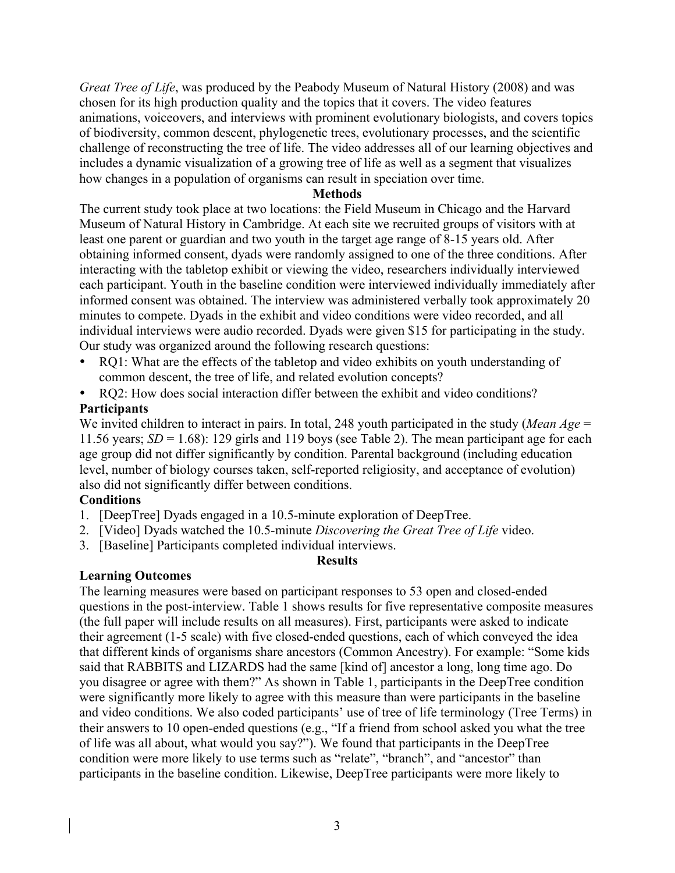*Great Tree of Life*, was produced by the Peabody Museum of Natural History (2008) and was chosen for its high production quality and the topics that it covers. The video features animations, voiceovers, and interviews with prominent evolutionary biologists, and covers topics of biodiversity, common descent, phylogenetic trees, evolutionary processes, and the scientific challenge of reconstructing the tree of life. The video addresses all of our learning objectives and includes a dynamic visualization of a growing tree of life as well as a segment that visualizes how changes in a population of organisms can result in speciation over time.

### **Methods**

The current study took place at two locations: the Field Museum in Chicago and the Harvard Museum of Natural History in Cambridge. At each site we recruited groups of visitors with at least one parent or guardian and two youth in the target age range of 8-15 years old. After obtaining informed consent, dyads were randomly assigned to one of the three conditions. After interacting with the tabletop exhibit or viewing the video, researchers individually interviewed each participant. Youth in the baseline condition were interviewed individually immediately after informed consent was obtained. The interview was administered verbally took approximately 20 minutes to compete. Dyads in the exhibit and video conditions were video recorded, and all individual interviews were audio recorded. Dyads were given \$15 for participating in the study. Our study was organized around the following research questions:

- RQ1: What are the effects of the tabletop and video exhibits on youth understanding of common descent, the tree of life, and related evolution concepts?
- RQ2: How does social interaction differ between the exhibit and video conditions?

# **Participants**

We invited children to interact in pairs. In total, 248 youth participated in the study (*Mean Age* = 11.56 years; *SD* = 1.68): 129 girls and 119 boys (see Table 2). The mean participant age for each age group did not differ significantly by condition. Parental background (including education level, number of biology courses taken, self-reported religiosity, and acceptance of evolution) also did not significantly differ between conditions.

# **Conditions**

- 1. [DeepTree] Dyads engaged in a 10.5-minute exploration of DeepTree.
- 2. [Video] Dyads watched the 10.5-minute *Discovering the Great Tree of Life* video.
- 3. [Baseline] Participants completed individual interviews.

## **Results**

**Learning Outcomes** The learning measures were based on participant responses to 53 open and closed-ended questions in the post-interview. Table 1 shows results for five representative composite measures (the full paper will include results on all measures). First, participants were asked to indicate their agreement (1-5 scale) with five closed-ended questions, each of which conveyed the idea that different kinds of organisms share ancestors (Common Ancestry). For example: "Some kids said that RABBITS and LIZARDS had the same [kind of] ancestor a long, long time ago. Do you disagree or agree with them?" As shown in Table 1, participants in the DeepTree condition were significantly more likely to agree with this measure than were participants in the baseline and video conditions. We also coded participants' use of tree of life terminology (Tree Terms) in their answers to 10 open-ended questions (e.g., "If a friend from school asked you what the tree of life was all about, what would you say?"). We found that participants in the DeepTree condition were more likely to use terms such as "relate", "branch", and "ancestor" than participants in the baseline condition. Likewise, DeepTree participants were more likely to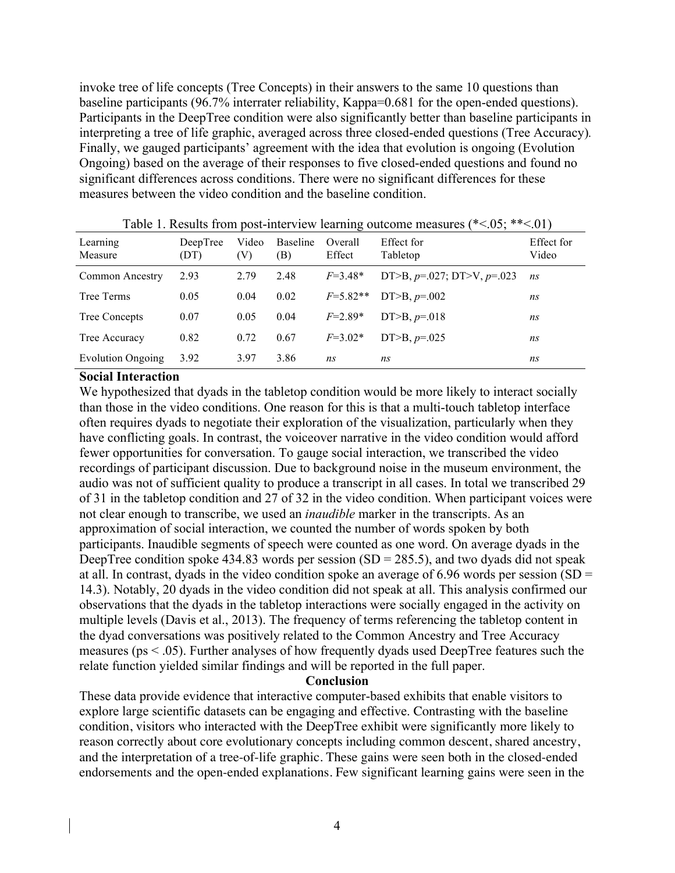invoke tree of life concepts (Tree Concepts) in their answers to the same 10 questions than baseline participants (96.7% interrater reliability, Kappa=0.681 for the open-ended questions). Participants in the DeepTree condition were also significantly better than baseline participants in interpreting a tree of life graphic, averaged across three closed-ended questions (Tree Accuracy)*.* Finally, we gauged participants' agreement with the idea that evolution is ongoing (Evolution Ongoing) based on the average of their responses to five closed-ended questions and found no significant differences across conditions. There were no significant differences for these measures between the video condition and the baseline condition.

| were in recognite from poor more as a registrary corrective means<br>$\ddotsc$ |                  |              |                 |                   |                                  | $\cdot$             |
|--------------------------------------------------------------------------------|------------------|--------------|-----------------|-------------------|----------------------------------|---------------------|
| Learning<br>Measure                                                            | DeepTree<br>(DT) | Video<br>(V) | Baseline<br>(B) | Overall<br>Effect | Effect for<br>Tabletop           | Effect for<br>Video |
| Common Ancestry                                                                | 2.93             | 2.79         | 2.48            | $F=3.48*$         | DT>B, $p=0.027$ ; DT>V, $p=.023$ | ns                  |
| Tree Terms                                                                     | 0.05             | 0.04         | 0.02            | $F=5.82**$        | DT>B, $p=0.002$                  | ns                  |
| Tree Concepts                                                                  | 0.07             | 0.05         | 0.04            | $F=2.89*$         | DT>B, $p=018$                    | ns                  |
| Tree Accuracy                                                                  | 0.82             | 0.72         | 0.67            | $F=3.02*$         | DT>B, $p=.025$                   | ns                  |
| <b>Evolution Ongoing</b>                                                       | 3.92             | 3.97         | 3.86            | ns                | ns                               | ns                  |

Table 1. Results from post-interview learning outcome measures ( $\le 0.5$ ;  $\le \le 0.01$ )

#### **Social Interaction**

We hypothesized that dyads in the tabletop condition would be more likely to interact socially than those in the video conditions. One reason for this is that a multi-touch tabletop interface often requires dyads to negotiate their exploration of the visualization, particularly when they have conflicting goals. In contrast, the voiceover narrative in the video condition would afford fewer opportunities for conversation. To gauge social interaction, we transcribed the video recordings of participant discussion. Due to background noise in the museum environment, the audio was not of sufficient quality to produce a transcript in all cases. In total we transcribed 29 of 31 in the tabletop condition and 27 of 32 in the video condition. When participant voices were not clear enough to transcribe, we used an *inaudible* marker in the transcripts. As an approximation of social interaction, we counted the number of words spoken by both participants. Inaudible segments of speech were counted as one word. On average dyads in the DeepTree condition spoke 434.83 words per session  $(SD = 285.5)$ , and two dyads did not speak at all. In contrast, dyads in the video condition spoke an average of 6.96 words per session (SD = 14.3). Notably, 20 dyads in the video condition did not speak at all. This analysis confirmed our observations that the dyads in the tabletop interactions were socially engaged in the activity on multiple levels (Davis et al., 2013). The frequency of terms referencing the tabletop content in the dyad conversations was positively related to the Common Ancestry and Tree Accuracy measures (ps < .05). Further analyses of how frequently dyads used DeepTree features such the relate function yielded similar findings and will be reported in the full paper.

#### **Conclusion**

These data provide evidence that interactive computer-based exhibits that enable visitors to explore large scientific datasets can be engaging and effective. Contrasting with the baseline condition, visitors who interacted with the DeepTree exhibit were significantly more likely to reason correctly about core evolutionary concepts including common descent, shared ancestry, and the interpretation of a tree-of-life graphic. These gains were seen both in the closed-ended endorsements and the open-ended explanations. Few significant learning gains were seen in the